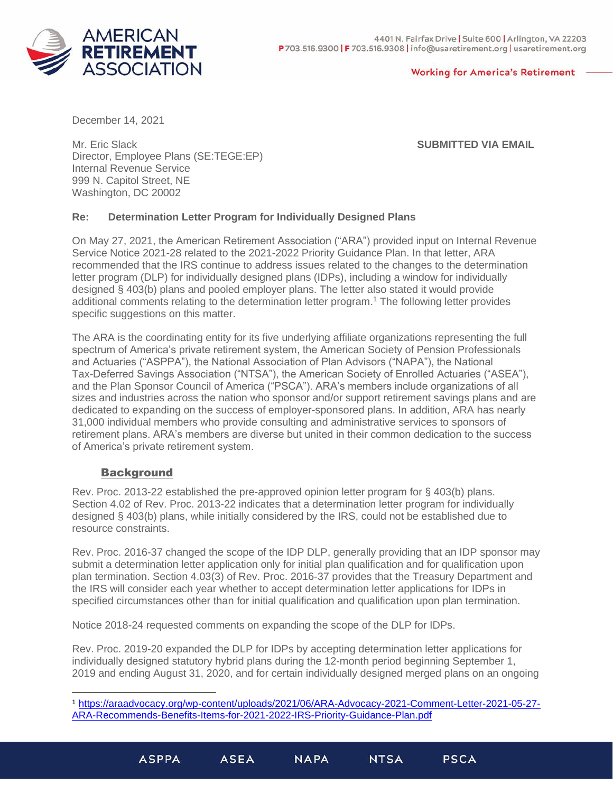

#### **Working for America's Retirement**

December 14, 2021

Mr. Eric Slack Director, Employee Plans (SE:TEGE:EP) Internal Revenue Service 999 N. Capitol Street, NE Washington, DC 20002

### **SUBMITTED VIA EMAIL**

# **Re: Determination Letter Program for Individually Designed Plans**

On May 27, 2021, the American Retirement Association ("ARA") provided input on Internal Revenue Service Notice 2021-28 related to the 2021-2022 Priority Guidance Plan. In that letter, ARA recommended that the IRS continue to address issues related to the changes to the determination letter program (DLP) for individually designed plans (IDPs), including a window for individually designed § 403(b) plans and pooled employer plans. The letter also stated it would provide additional comments relating to the determination letter program. <sup>1</sup> The following letter provides specific suggestions on this matter.

The ARA is the coordinating entity for its five underlying affiliate organizations representing the full spectrum of America's private retirement system, the American Society of Pension Professionals and Actuaries ("ASPPA"), the National Association of Plan Advisors ("NAPA"), the National Tax-Deferred Savings Association ("NTSA"), the American Society of Enrolled Actuaries ("ASEA"), and the Plan Sponsor Council of America ("PSCA"). ARA's members include organizations of all sizes and industries across the nation who sponsor and/or support retirement savings plans and are dedicated to expanding on the success of employer-sponsored plans. In addition, ARA has nearly 31,000 individual members who provide consulting and administrative services to sponsors of retirement plans. ARA's members are diverse but united in their common dedication to the success of America's private retirement system.

# **Background**

Rev. Proc. 2013-22 established the pre-approved opinion letter program for § 403(b) plans. Section 4.02 of Rev. Proc. 2013-22 indicates that a determination letter program for individually designed § 403(b) plans, while initially considered by the IRS, could not be established due to resource constraints.

Rev. Proc. 2016-37 changed the scope of the IDP DLP, generally providing that an IDP sponsor may submit a determination letter application only for initial plan qualification and for qualification upon plan termination. Section 4.03(3) of Rev. Proc. 2016-37 provides that the Treasury Department and the IRS will consider each year whether to accept determination letter applications for IDPs in specified circumstances other than for initial qualification and qualification upon plan termination.

Notice 2018-24 requested comments on expanding the scope of the DLP for IDPs.

Rev. Proc. 2019-20 expanded the DLP for IDPs by accepting determination letter applications for individually designed statutory hybrid plans during the 12-month period beginning September 1, 2019 and ending August 31, 2020, and for certain individually designed merged plans on an ongoing

<sup>1</sup> [https://araadvocacy.org/wp-content/uploads/2021/06/ARA-Advocacy-2021-Comment-Letter-2021-05-27-](https://araadvocacy.org/wp-content/uploads/2021/06/ARA-Advocacy-2021-Comment-Letter-2021-05-27-ARA-Recommends-Benefits-Items-for-2021-2022-IRS-Priority-Guidance-Plan.pdf) [ARA-Recommends-Benefits-Items-for-2021-2022-IRS-Priority-Guidance-Plan.pdf](https://araadvocacy.org/wp-content/uploads/2021/06/ARA-Advocacy-2021-Comment-Letter-2021-05-27-ARA-Recommends-Benefits-Items-for-2021-2022-IRS-Priority-Guidance-Plan.pdf)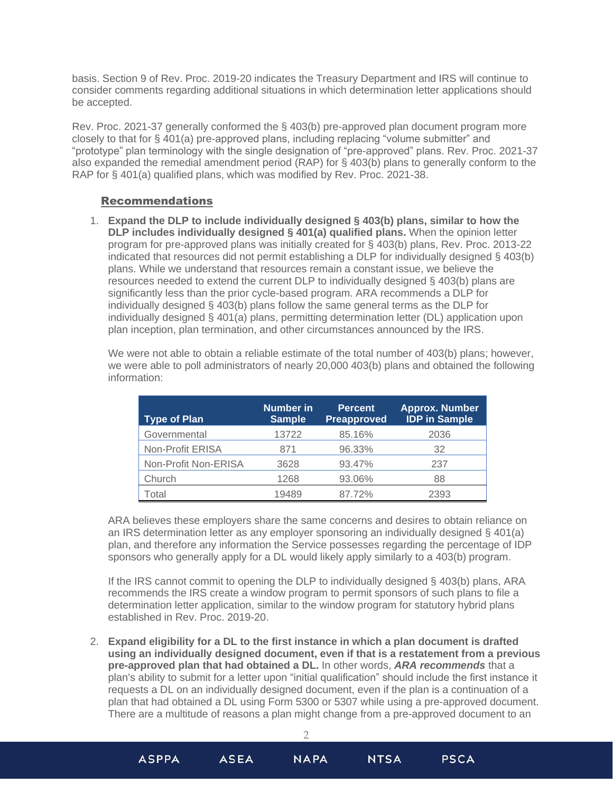basis. Section 9 of Rev. Proc. 2019-20 indicates the Treasury Department and IRS will continue to consider comments regarding additional situations in which determination letter applications should be accepted.

Rev. Proc. 2021-37 generally conformed the § 403(b) pre-approved plan document program more closely to that for § 401(a) pre-approved plans, including replacing "volume submitter" and "prototype" plan terminology with the single designation of "pre-approved" plans. Rev. Proc. 2021-37 also expanded the remedial amendment period (RAP) for § 403(b) plans to generally conform to the RAP for § 401(a) qualified plans, which was modified by Rev. Proc. 2021-38.

### Recommendations

1. **Expand the DLP to include individually designed § 403(b) plans, similar to how the DLP includes individually designed § 401(a) qualified plans.** When the opinion letter program for pre-approved plans was initially created for § 403(b) plans, Rev. Proc. 2013-22 indicated that resources did not permit establishing a DLP for individually designed § 403(b) plans. While we understand that resources remain a constant issue, we believe the resources needed to extend the current DLP to individually designed § 403(b) plans are significantly less than the prior cycle-based program. ARA recommends a DLP for individually designed § 403(b) plans follow the same general terms as the DLP for individually designed § 401(a) plans, permitting determination letter (DL) application upon plan inception, plan termination, and other circumstances announced by the IRS.

We were not able to obtain a reliable estimate of the total number of 403(b) plans; however, we were able to poll administrators of nearly 20,000 403(b) plans and obtained the following information:

| <b>Type of Plan</b>  | Number in<br><b>Sample</b> | <b>Percent</b><br>Preapproved | <b>Approx. Number</b><br><b>IDP</b> in Sample |
|----------------------|----------------------------|-------------------------------|-----------------------------------------------|
| Governmental         | 13722                      | 85.16%                        | 2036                                          |
| Non-Profit ERISA     | 871                        | 96.33%                        | 32                                            |
| Non-Profit Non-ERISA | 3628                       | 93.47%                        | 237                                           |
| Church               | 1268                       | 93.06%                        | 88                                            |
| Total                | 19489                      | 87.72%                        | 2393                                          |

ARA believes these employers share the same concerns and desires to obtain reliance on an IRS determination letter as any employer sponsoring an individually designed § 401(a) plan, and therefore any information the Service possesses regarding the percentage of IDP sponsors who generally apply for a DL would likely apply similarly to a 403(b) program.

If the IRS cannot commit to opening the DLP to individually designed § 403(b) plans, ARA recommends the IRS create a window program to permit sponsors of such plans to file a determination letter application, similar to the window program for statutory hybrid plans established in Rev. Proc. 2019-20.

2. **Expand eligibility for a DL to the first instance in which a plan document is drafted using an individually designed document, even if that is a restatement from a previous pre-approved plan that had obtained a DL.** In other words, *ARA recommends* that a plan's ability to submit for a letter upon "initial qualification" should include the first instance it requests a DL on an individually designed document, even if the plan is a continuation of a plan that had obtained a DL using Form 5300 or 5307 while using a pre-approved document. There are a multitude of reasons a plan might change from a pre-approved document to an

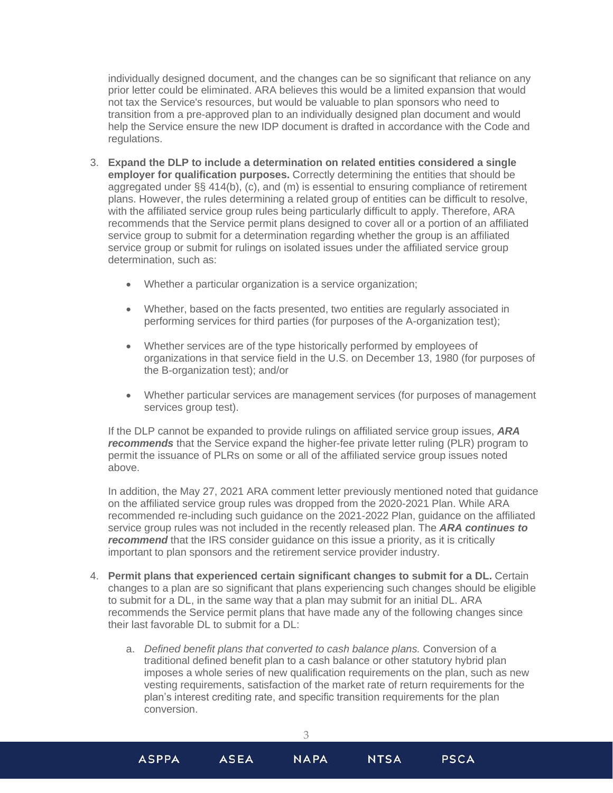individually designed document, and the changes can be so significant that reliance on any prior letter could be eliminated. ARA believes this would be a limited expansion that would not tax the Service's resources, but would be valuable to plan sponsors who need to transition from a pre-approved plan to an individually designed plan document and would help the Service ensure the new IDP document is drafted in accordance with the Code and regulations.

- 3. **Expand the DLP to include a determination on related entities considered a single employer for qualification purposes.** Correctly determining the entities that should be aggregated under §§ 414(b), (c), and (m) is essential to ensuring compliance of retirement plans. However, the rules determining a related group of entities can be difficult to resolve, with the affiliated service group rules being particularly difficult to apply. Therefore, ARA recommends that the Service permit plans designed to cover all or a portion of an affiliated service group to submit for a determination regarding whether the group is an affiliated service group or submit for rulings on isolated issues under the affiliated service group determination, such as:
	- Whether a particular organization is a service organization;
	- Whether, based on the facts presented, two entities are regularly associated in performing services for third parties (for purposes of the A-organization test);
	- Whether services are of the type historically performed by employees of organizations in that service field in the U.S. on December 13, 1980 (for purposes of the B-organization test); and/or
	- Whether particular services are management services (for purposes of management services group test).

If the DLP cannot be expanded to provide rulings on affiliated service group issues, *ARA recommends* that the Service expand the higher-fee private letter ruling (PLR) program to permit the issuance of PLRs on some or all of the affiliated service group issues noted above.

In addition, the May 27, 2021 ARA comment letter previously mentioned noted that guidance on the affiliated service group rules was dropped from the 2020-2021 Plan. While ARA recommended re-including such guidance on the 2021-2022 Plan, guidance on the affiliated service group rules was not included in the recently released plan. The *ARA continues to*  **recommend** that the IRS consider guidance on this issue a priority, as it is critically important to plan sponsors and the retirement service provider industry.

- 4. **Permit plans that experienced certain significant changes to submit for a DL.** Certain changes to a plan are so significant that plans experiencing such changes should be eligible to submit for a DL, in the same way that a plan may submit for an initial DL. ARA recommends the Service permit plans that have made any of the following changes since their last favorable DL to submit for a DL:
	- a. *Defined benefit plans that converted to cash balance plans.* Conversion of a traditional defined benefit plan to a cash balance or other statutory hybrid plan imposes a whole series of new qualification requirements on the plan, such as new vesting requirements, satisfaction of the market rate of return requirements for the plan's interest crediting rate, and specific transition requirements for the plan conversion.

3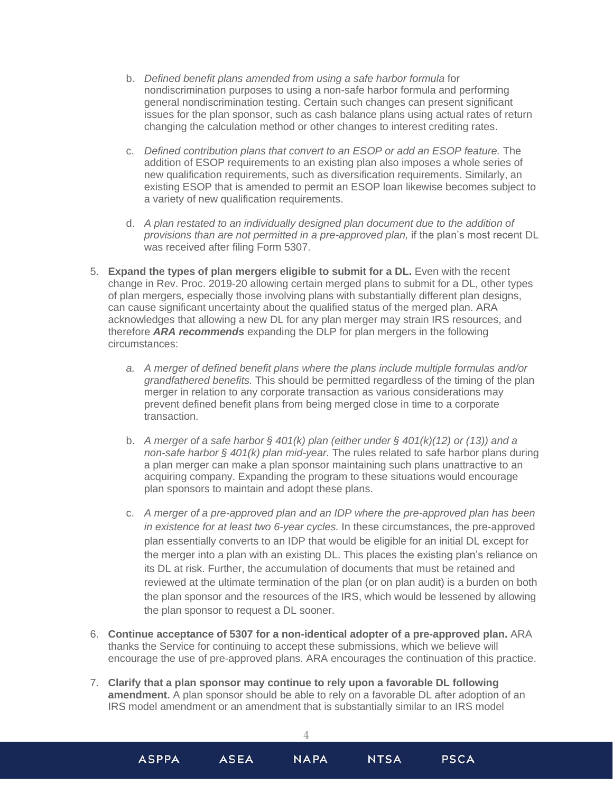- b. *Defined benefit plans amended from using a safe harbor formula* for nondiscrimination purposes to using a non-safe harbor formula and performing general nondiscrimination testing. Certain such changes can present significant issues for the plan sponsor, such as cash balance plans using actual rates of return changing the calculation method or other changes to interest crediting rates.
- c. *Defined contribution plans that convert to an ESOP or add an ESOP feature.* The addition of ESOP requirements to an existing plan also imposes a whole series of new qualification requirements, such as diversification requirements. Similarly, an existing ESOP that is amended to permit an ESOP loan likewise becomes subject to a variety of new qualification requirements.
- d. *A plan restated to an individually designed plan document due to the addition of provisions than are not permitted in a pre-approved plan,* if the plan's most recent DL was received after filing Form 5307.
- 5. **Expand the types of plan mergers eligible to submit for a DL.** Even with the recent change in Rev. Proc. 2019-20 allowing certain merged plans to submit for a DL, other types of plan mergers, especially those involving plans with substantially different plan designs, can cause significant uncertainty about the qualified status of the merged plan. ARA acknowledges that allowing a new DL for any plan merger may strain IRS resources, and therefore *ARA recommends* expanding the DLP for plan mergers in the following circumstances:
	- *a. A merger of defined benefit plans where the plans include multiple formulas and/or grandfathered benefits.* This should be permitted regardless of the timing of the plan merger in relation to any corporate transaction as various considerations may prevent defined benefit plans from being merged close in time to a corporate transaction.
	- b. *A merger of a safe harbor § 401(k) plan (either under § 401(k)(12) or (13)) and a non-safe harbor § 401(k) plan mid-year.* The rules related to safe harbor plans during a plan merger can make a plan sponsor maintaining such plans unattractive to an acquiring company. Expanding the program to these situations would encourage plan sponsors to maintain and adopt these plans.
	- c. *A merger of a pre-approved plan and an IDP where the pre-approved plan has been in existence for at least two 6-year cycles.* In these circumstances, the pre-approved plan essentially converts to an IDP that would be eligible for an initial DL except for the merger into a plan with an existing DL. This places the existing plan's reliance on its DL at risk. Further, the accumulation of documents that must be retained and reviewed at the ultimate termination of the plan (or on plan audit) is a burden on both the plan sponsor and the resources of the IRS, which would be lessened by allowing the plan sponsor to request a DL sooner.
- 6. **Continue acceptance of 5307 for a non-identical adopter of a pre-approved plan.** ARA thanks the Service for continuing to accept these submissions, which we believe will encourage the use of pre-approved plans. ARA encourages the continuation of this practice.
- 7. **Clarify that a plan sponsor may continue to rely upon a favorable DL following amendment.** A plan sponsor should be able to rely on a favorable DL after adoption of an IRS model amendment or an amendment that is substantially similar to an IRS model